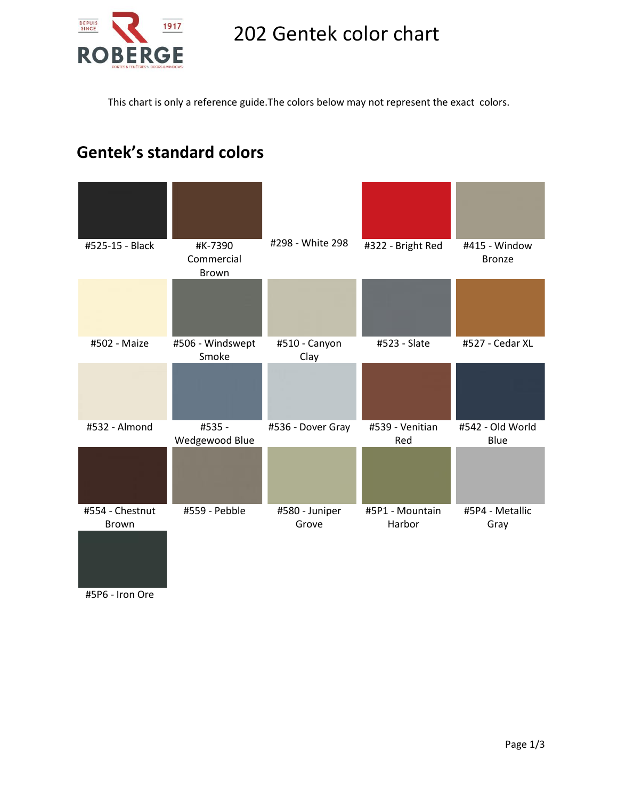

## 202 Gentek color chart

This chart is only a reference guide.The colors below may not represent the exact colors.

## **Gentek's standard colors**



#5P6 - Iron Ore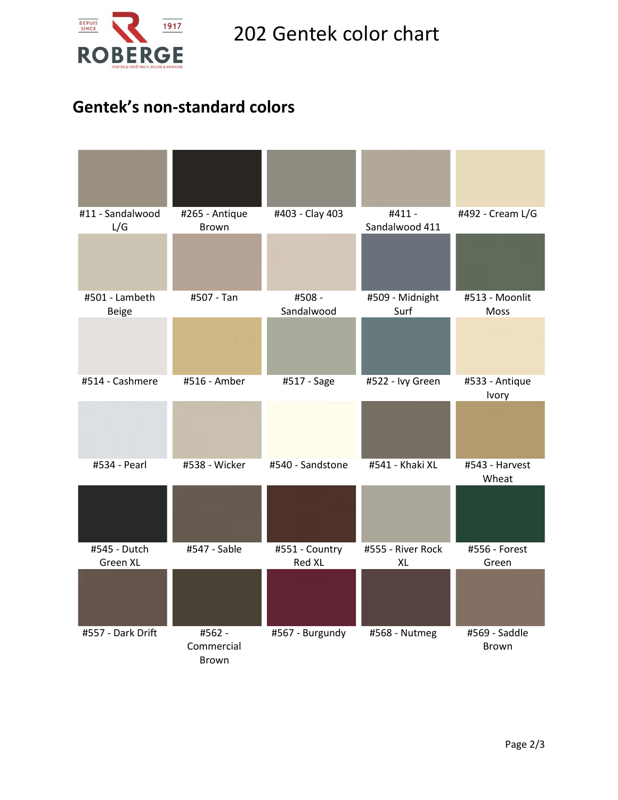

## **Gentek's non-standard colors**